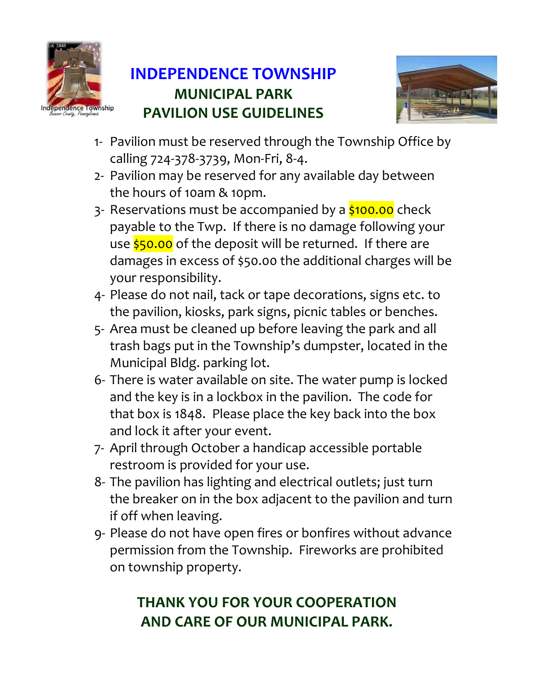

## **INDEPENDENCE TOWNSHIP MUNICIPAL PARK PAVILION USE GUIDELINES**



- 1- Pavilion must be reserved through the Township Office by calling 724-378-3739, Mon-Fri, 8-4.
- 2- Pavilion may be reserved for any available day between the hours of 10am & 10pm.
- 3- Reservations must be accompanied by a \$100.00 check payable to the Twp. If there is no damage following your use \$50.00 of the deposit will be returned. If there are damages in excess of \$50.00 the additional charges will be your responsibility.
- 4- Please do not nail, tack or tape decorations, signs etc. to the pavilion, kiosks, park signs, picnic tables or benches.
- 5- Area must be cleaned up before leaving the park and all trash bags put in the Township's dumpster, located in the Municipal Bldg. parking lot.
- 6- There is water available on site. The water pump is locked and the key is in a lockbox in the pavilion. The code for that box is 1848. Please place the key back into the box and lock it after your event.
- 7- April through October a handicap accessible portable restroom is provided for your use.
- 8- The pavilion has lighting and electrical outlets; just turn the breaker on in the box adjacent to the pavilion and turn if off when leaving.
- 9- Please do not have open fires or bonfires without advance permission from the Township. Fireworks are prohibited on township property.

## **THANK YOU FOR YOUR COOPERATION AND CARE OF OUR MUNICIPAL PARK.**